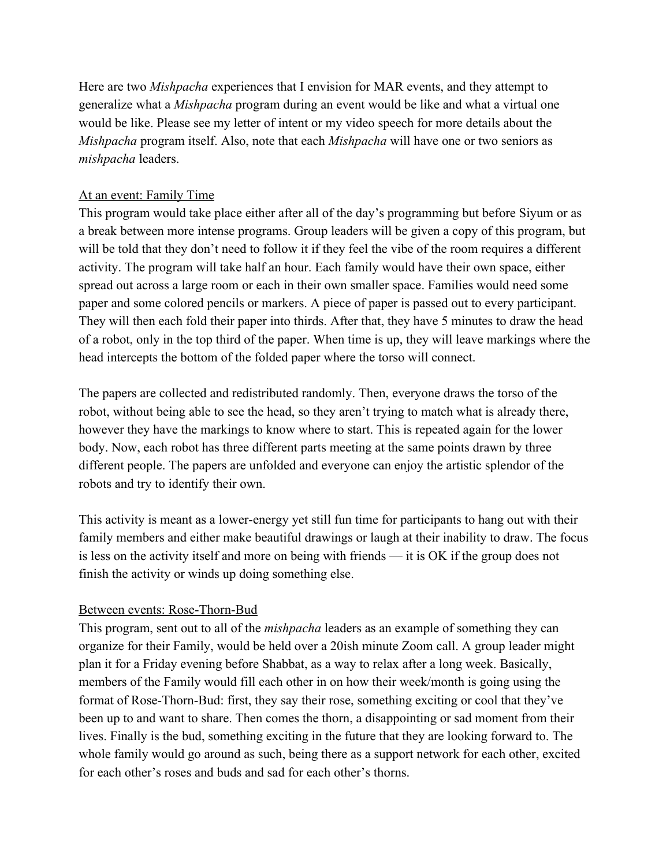Here are two *Mishpacha* experiences that I envision for MAR events, and they attempt to generalize what a *Mishpacha* program during an event would be like and what a virtual one would be like. Please see my letter of intent or my video speech for more details about the *Mishpacha* program itself. Also, note that each *Mishpacha* will have one or two seniors as *mishpacha* leaders.

## At an event: Family Time

This program would take place either after all of the day's programming but before Siyum or as a break between more intense programs. Group leaders will be given a copy of this program, but will be told that they don't need to follow it if they feel the vibe of the room requires a different activity. The program will take half an hour. Each family would have their own space, either spread out across a large room or each in their own smaller space. Families would need some paper and some colored pencils or markers. A piece of paper is passed out to every participant. They will then each fold their paper into thirds. After that, they have 5 minutes to draw the head of a robot, only in the top third of the paper. When time is up, they will leave markings where the head intercepts the bottom of the folded paper where the torso will connect.

The papers are collected and redistributed randomly. Then, everyone draws the torso of the robot, without being able to see the head, so they aren't trying to match what is already there, however they have the markings to know where to start. This is repeated again for the lower body. Now, each robot has three different parts meeting at the same points drawn by three different people. The papers are unfolded and everyone can enjoy the artistic splendor of the robots and try to identify their own.

This activity is meant as a lower-energy yet still fun time for participants to hang out with their family members and either make beautiful drawings or laugh at their inability to draw. The focus is less on the activity itself and more on being with friends — it is OK if the group does not finish the activity or winds up doing something else.

## Between events: Rose-Thorn-Bud

This program, sent out to all of the *mishpacha* leaders as an example of something they can organize for their Family, would be held over a 20ish minute Zoom call. A group leader might plan it for a Friday evening before Shabbat, as a way to relax after a long week. Basically, members of the Family would fill each other in on how their week/month is going using the format of Rose-Thorn-Bud: first, they say their rose, something exciting or cool that they've been up to and want to share. Then comes the thorn, a disappointing or sad moment from their lives. Finally is the bud, something exciting in the future that they are looking forward to. The whole family would go around as such, being there as a support network for each other, excited for each other's roses and buds and sad for each other's thorns.